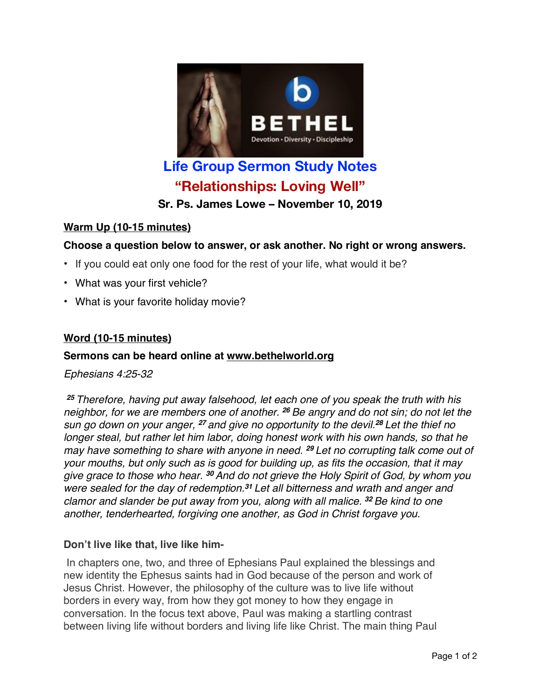

# **Life Group Sermon Study Notes "Relationships: Loving Well"**

**Sr. Ps. James Lowe – November 10, 2019**

## **Warm Up (10-15 minutes)**

### **Choose a question below to answer, or ask another. No right or wrong answers.**

- If you could eat only one food for the rest of your life, what would it be?
- What was your first vehicle?
- What is your favorite holiday movie?

### **Word (10-15 minutes)**

#### **Sermons can be heard online at www.bethelworld.org**

#### *Ephesians 4:25-32*

*<sup>25</sup> Therefore, having put away falsehood, let each one of you speak the truth with his neighbor, for we are members one of another. <sup>26</sup> Be angry and do not sin; do not let the sun go down on your anger, <sup>27</sup> and give no opportunity to the devil. <sup>28</sup> Let the thief no longer steal, but rather let him labor, doing honest work with his own hands, so that he may have something to share with anyone in need. <sup>29</sup> Let no corrupting talk come out of your mouths, but only such as is good for building up, as fits the occasion, that it may give grace to those who hear. <sup>30</sup> And do not grieve the Holy Spirit of God, by whom you were sealed for the day of redemption. <sup>31</sup> Let all bitterness and wrath and anger and clamor and slander be put away from you, along with all malice. <sup>32</sup> Be kind to one another, tenderhearted, forgiving one another, as God in Christ forgave you.*

#### **Don't live like that, live like him-**

In chapters one, two, and three of Ephesians Paul explained the blessings and new identity the Ephesus saints had in God because of the person and work of Jesus Christ. However, the philosophy of the culture was to live life without borders in every way, from how they got money to how they engage in conversation. In the focus text above, Paul was making a startling contrast between living life without borders and living life like Christ. The main thing Paul